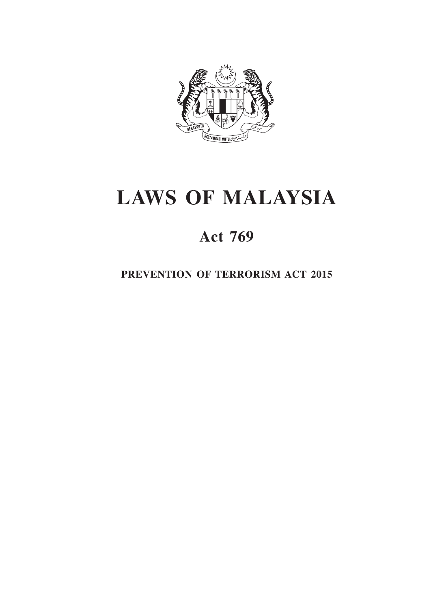

# **laws OF MALAYSIA**

# **Act 769**

**prevention of terrorism act 2015**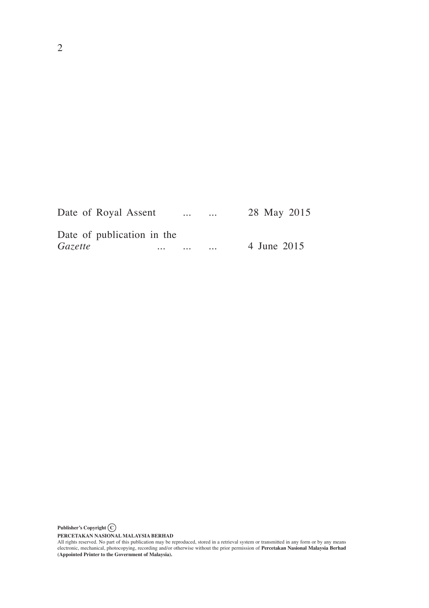|         | Date of Royal Assent       |          | $\cdots$ | $\cdots$ | 28 May 2015 |
|---------|----------------------------|----------|----------|----------|-------------|
|         | Date of publication in the |          |          |          |             |
| Gazette |                            | $\cdots$ | $\cdots$ | $\cdots$ | 4 June 2015 |

**Publisher's Copyright C**

PERCETAKAN NASIONAL MALAYSIA BERHAD<br>All rights reserved. No part of this publication may be reproduced, stored in a retrieval system or transmitted in any form or by any means<br>electronic, mechanical, photocopying, recordin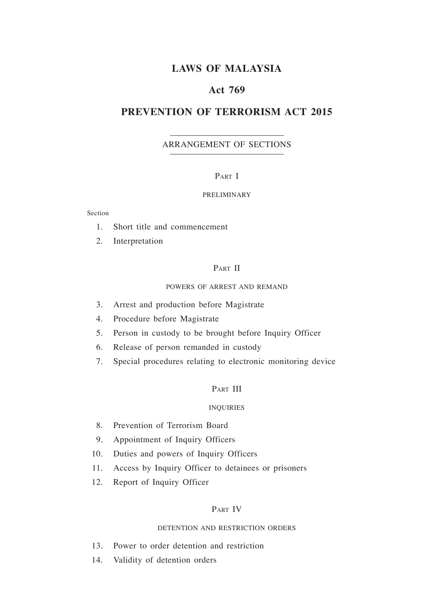# **Laws of malaysia**

## **Act 769**

## **PREVENTION OF TERRORISM ACT 2015**

#### ARRANGEMENT OF sections

#### PART I

#### PRELIMINARY

#### Section

- 1. Short title and commencement
- 2. Interpretation

#### PART II

#### POWERS OF ARREST AND REMAND

- 3. Arrest and production before Magistrate
- 4. Procedure before Magistrate
- 5. Person in custody to be brought before Inquiry Officer
- 6. Release of person remanded in custody
- 7. Special procedures relating to electronic monitoring device

#### PART III

#### INQUIRIES

- 8. Prevention of Terrorism Board
- 9. Appointment of Inquiry Officers
- 10. Duties and powers of Inquiry Officers
- 11. Access by Inquiry Officer to detainees or prisoners
- 12. Report of Inquiry Officer

#### Part IV

#### DETENTION AND RESTRICTION ORDERS

- 13. Power to order detention and restriction
- 14. Validity of detention orders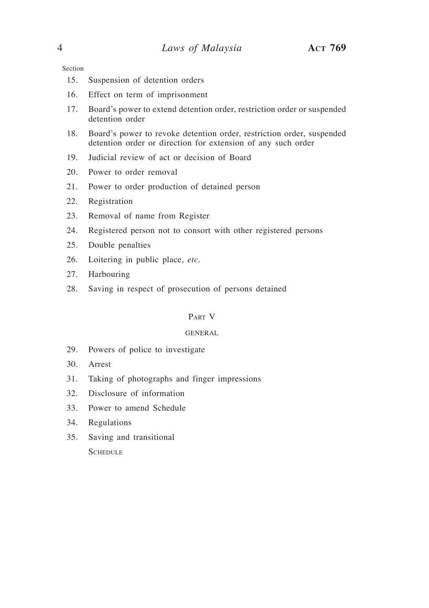Section

- 15. Suspension of detention orders
- 16. Effect on term of imprisonment
- 17. Board's power to extend detention order, restriction order or suspended detention order
- 18. Board's power to revoke detention order, restriction order, suspended detention order or direction for extension of any such order
- 19. Judicial review of act or decision of Board
- 20. Power to order removal
- 21. Power to order production of detained person
- 22. Registration
- 23. Removal of name from Register
- 24. Registered person not to consort with other registered persons
- 25. Double penalties
- 26. Loitering in public place, *etc.*
- 27. Harbouring
- 28. Saving in respect of prosecution of persons detained

#### Part V

#### GENERAL

- 29. Powers of police to investigate
- 30. Arrest
- 31. Taking of photographs and finger impressions
- 32. Disclosure of information
- 33. Power to amend Schedule
- 34. Regulations
- 35. Saving and transitional **SCHEDULE**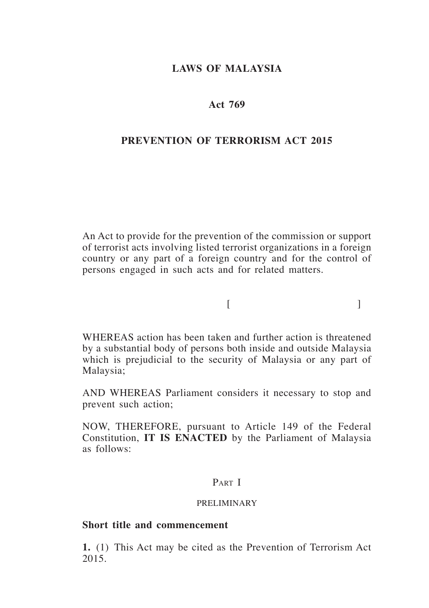## **laws of malaysia**

## **Act 769**

## **prevention of terrorism act 2015**

An Act to provide for the prevention of the commission or support of terrorist acts involving listed terrorist organizations in a foreign country or any part of a foreign country and for the control of persons engaged in such acts and for related matters.

 $[$ 

WHEREAS action has been taken and further action is threatened by a substantial body of persons both inside and outside Malaysia which is prejudicial to the security of Malaysia or any part of Malaysia;

AND WHEREAS Parliament considers it necessary to stop and prevent such action;

NOW, THEREFORE, pursuant to Article 149 of the Federal Constitution, **IT IS ENACTED** by the Parliament of Malaysia as follows:

## PART I

#### PRELIMINARY

## **Short title and commencement**

**1.** (1) This Act may be cited as the Prevention of Terrorism Act 2015.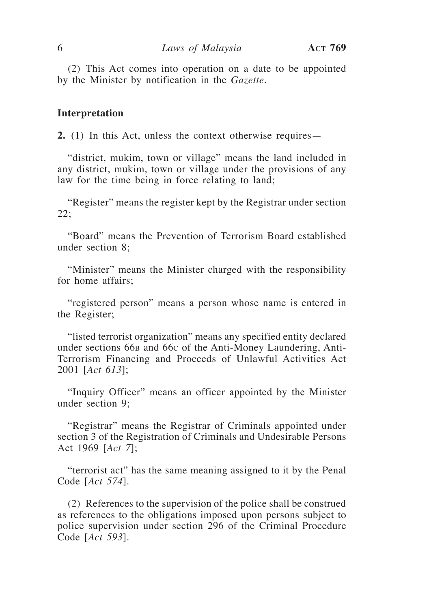(2) This Act comes into operation on a date to be appointed by the Minister by notification in the *Gazette*.

#### **Interpretation**

**2.** (1) In this Act, unless the context otherwise requires—

"district, mukim, town or village" means the land included in any district, mukim, town or village under the provisions of any law for the time being in force relating to land;

"Register" means the register kept by the Registrar under section 22;

"Board" means the Prevention of Terrorism Board established under section 8;

"Minister" means the Minister charged with the responsibility for home affairs;

"registered person" means a person whose name is entered in the Register;

"listed terrorist organization" means any specified entity declared under sections 66<sub>B</sub> and 66<sub>C</sub> of the Anti-Money Laundering, Anti-Terrorism Financing and Proceeds of Unlawful Activities Act 2001 [*Act 613*];

"Inquiry Officer" means an officer appointed by the Minister under section 9;

"Registrar" means the Registrar of Criminals appointed under section 3 of the Registration of Criminals and Undesirable Persons Act 1969 [*Act 7*];

"terrorist act" has the same meaning assigned to it by the Penal Code [*Act 574*].

(2) References to the supervision of the police shall be construed as references to the obligations imposed upon persons subject to police supervision under section 296 of the Criminal Procedure Code [*Act 593*].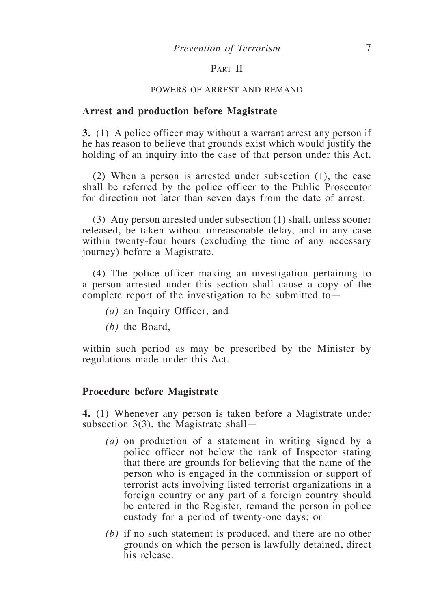## PART II

#### POWERS OF ARREST AND REMAND

#### **Arrest and production before Magistrate**

**3.** (1) A police officer may without a warrant arrest any person if he has reason to believe that grounds exist which would justify the holding of an inquiry into the case of that person under this Act.

(2) When a person is arrested under subsection (1), the case shall be referred by the police officer to the Public Prosecutor for direction not later than seven days from the date of arrest.

(3) Any person arrested under subsection (1) shall, unless sooner released, be taken without unreasonable delay, and in any case within twenty-four hours (excluding the time of any necessary journey) before a Magistrate.

(4) The police officer making an investigation pertaining to a person arrested under this section shall cause a copy of the complete report of the investigation to be submitted to—

- *(a)* an Inquiry Officer; and
- *(b)* the Board,

within such period as may be prescribed by the Minister by regulations made under this Act.

#### **Procedure before Magistrate**

**4.** (1) Whenever any person is taken before a Magistrate under subsection  $3(3)$ , the Magistrate shall-

- *(a)* on production of a statement in writing signed by a police officer not below the rank of Inspector stating that there are grounds for believing that the name of the person who is engaged in the commission or support of terrorist acts involving listed terrorist organizations in a foreign country or any part of a foreign country should be entered in the Register, remand the person in police custody for a period of twenty-one days; or
- *(b)* if no such statement is produced, and there are no other grounds on which the person is lawfully detained, direct his release.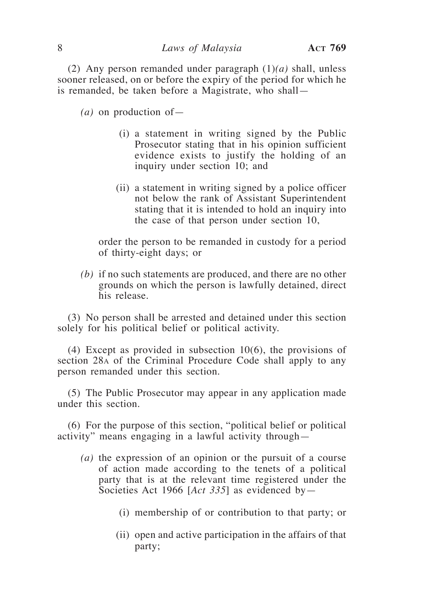(2) Any person remanded under paragraph (1)*(a)* shall, unless sooner released, on or before the expiry of the period for which he is remanded, be taken before a Magistrate, who shall—

*(a)* on production of—

- (i) a statement in writing signed by the Public Prosecutor stating that in his opinion sufficient evidence exists to justify the holding of an inquiry under section 10; and
- (ii) a statement in writing signed by a police officer not below the rank of Assistant Superintendent stating that it is intended to hold an inquiry into the case of that person under section 10,

 order the person to be remanded in custody for a period of thirty-eight days; or

*(b)* if no such statements are produced, and there are no other grounds on which the person is lawfully detained, direct his release.

(3) No person shall be arrested and detained under this section solely for his political belief or political activity.

(4) Except as provided in subsection 10(6), the provisions of section 28a of the Criminal Procedure Code shall apply to any person remanded under this section.

(5) The Public Prosecutor may appear in any application made under this section.

(6) For the purpose of this section, "political belief or political activity" means engaging in a lawful activity through—

- *(a)* the expression of an opinion or the pursuit of a course of action made according to the tenets of a political party that is at the relevant time registered under the Societies Act 1966 [*Act 335*] as evidenced by—
	- (i) membership of or contribution to that party; or
	- (ii) open and active participation in the affairs of that party;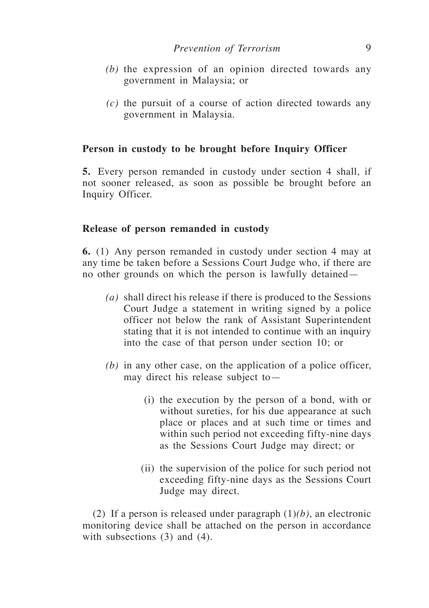- *(b)* the expression of an opinion directed towards any government in Malaysia; or
- *(c)* the pursuit of a course of action directed towards any government in Malaysia.

#### **Person in custody to be brought before Inquiry Officer**

**5.** Every person remanded in custody under section 4 shall, if not sooner released, as soon as possible be brought before an Inquiry Officer.

#### **Release of person remanded in custody**

**6.** (1) Any person remanded in custody under section 4 may at any time be taken before a Sessions Court Judge who, if there are no other grounds on which the person is lawfully detained—

- *(a)* shall direct his release if there is produced to the Sessions Court Judge a statement in writing signed by a police officer not below the rank of Assistant Superintendent stating that it is not intended to continue with an inquiry into the case of that person under section 10; or
- *(b)* in any other case, on the application of a police officer, may direct his release subject to—
	- (i) the execution by the person of a bond, with or without sureties, for his due appearance at such place or places and at such time or times and within such period not exceeding fifty-nine days as the Sessions Court Judge may direct; or
	- (ii) the supervision of the police for such period not exceeding fifty-nine days as the Sessions Court Judge may direct.

(2) If a person is released under paragraph (1)*(b)*, an electronic monitoring device shall be attached on the person in accordance with subsections (3) and (4).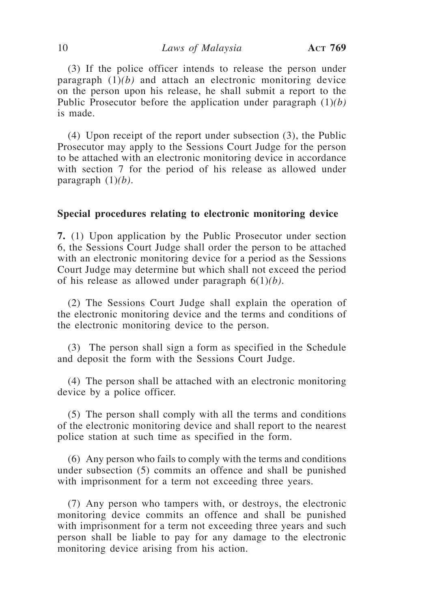(3) If the police officer intends to release the person under paragraph (1)*(b)* and attach an electronic monitoring device on the person upon his release, he shall submit a report to the Public Prosecutor before the application under paragraph (1)*(b)* is made.

(4) Upon receipt of the report under subsection (3), the Public Prosecutor may apply to the Sessions Court Judge for the person to be attached with an electronic monitoring device in accordance with section 7 for the period of his release as allowed under paragraph (1)*(b)*.

#### **Special procedures relating to electronic monitoring device**

**7.** (1) Upon application by the Public Prosecutor under section 6, the Sessions Court Judge shall order the person to be attached with an electronic monitoring device for a period as the Sessions Court Judge may determine but which shall not exceed the period of his release as allowed under paragraph 6(1)*(b)*.

(2) The Sessions Court Judge shall explain the operation of the electronic monitoring device and the terms and conditions of the electronic monitoring device to the person.

(3) The person shall sign a form as specified in the Schedule and deposit the form with the Sessions Court Judge.

(4) The person shall be attached with an electronic monitoring device by a police officer.

(5) The person shall comply with all the terms and conditions of the electronic monitoring device and shall report to the nearest police station at such time as specified in the form.

(6) Any person who fails to comply with the terms and conditions under subsection (5) commits an offence and shall be punished with imprisonment for a term not exceeding three years.

(7) Any person who tampers with, or destroys, the electronic monitoring device commits an offence and shall be punished with imprisonment for a term not exceeding three years and such person shall be liable to pay for any damage to the electronic monitoring device arising from his action.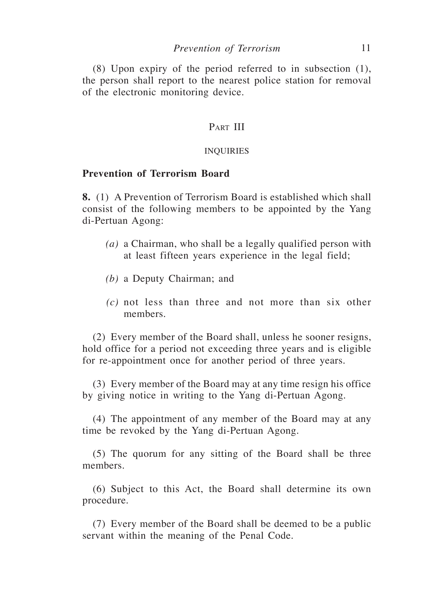(8) Upon expiry of the period referred to in subsection (1), the person shall report to the nearest police station for removal of the electronic monitoring device.

## PART III

#### INQUIRIES

## **Prevention of Terrorism Board**

**8.** (1) A Prevention of Terrorism Board is established which shall consist of the following members to be appointed by the Yang di-Pertuan Agong:

- *(a)* a Chairman, who shall be a legally qualified person with at least fifteen years experience in the legal field;
- *(b)* a Deputy Chairman; and
- *(c)* not less than three and not more than six other members.

(2) Every member of the Board shall, unless he sooner resigns, hold office for a period not exceeding three years and is eligible for re-appointment once for another period of three years.

(3) Every member of the Board may at any time resign his office by giving notice in writing to the Yang di-Pertuan Agong.

(4) The appointment of any member of the Board may at any time be revoked by the Yang di-Pertuan Agong.

(5) The quorum for any sitting of the Board shall be three members.

(6) Subject to this Act, the Board shall determine its own procedure.

(7) Every member of the Board shall be deemed to be a public servant within the meaning of the Penal Code.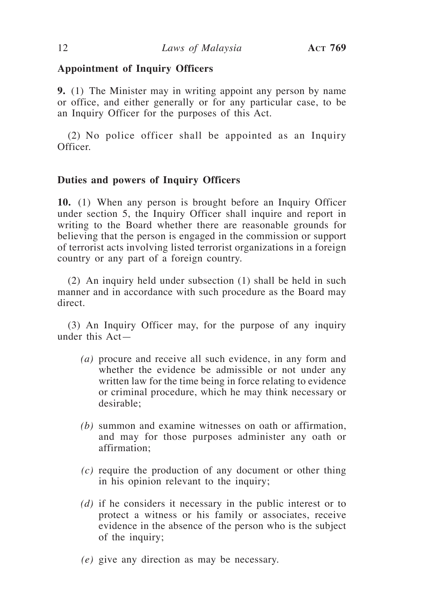## **Appointment of Inquiry Officers**

**9.** (1) The Minister may in writing appoint any person by name or office, and either generally or for any particular case, to be an Inquiry Officer for the purposes of this Act.

(2) No police officer shall be appointed as an Inquiry Officer.

## **Duties and powers of Inquiry Officers**

**10.** (1) When any person is brought before an Inquiry Officer under section 5, the Inquiry Officer shall inquire and report in writing to the Board whether there are reasonable grounds for believing that the person is engaged in the commission or support of terrorist acts involving listed terrorist organizations in a foreign country or any part of a foreign country.

(2) An inquiry held under subsection (1) shall be held in such manner and in accordance with such procedure as the Board may direct.

(3) An Inquiry Officer may, for the purpose of any inquiry under this Act—

- *(a)* procure and receive all such evidence, in any form and whether the evidence be admissible or not under any written law for the time being in force relating to evidence or criminal procedure, which he may think necessary or desirable;
- *(b)* summon and examine witnesses on oath or affirmation, and may for those purposes administer any oath or affirmation;
- *(c)* require the production of any document or other thing in his opinion relevant to the inquiry;
- *(d)* if he considers it necessary in the public interest or to protect a witness or his family or associates, receive evidence in the absence of the person who is the subject of the inquiry;
- *(e)* give any direction as may be necessary.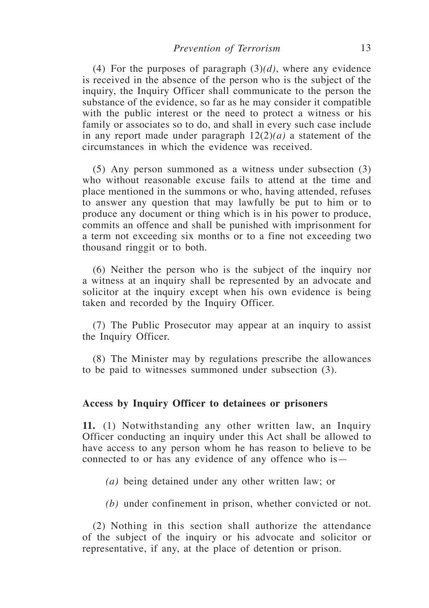(4) For the purposes of paragraph (3)*(d)*, where any evidence is received in the absence of the person who is the subject of the inquiry, the Inquiry Officer shall communicate to the person the substance of the evidence, so far as he may consider it compatible with the public interest or the need to protect a witness or his family or associates so to do, and shall in every such case include in any report made under paragraph 12(2)*(a)* a statement of the circumstances in which the evidence was received.

(5) Any person summoned as a witness under subsection (3) who without reasonable excuse fails to attend at the time and place mentioned in the summons or who, having attended, refuses to answer any question that may lawfully be put to him or to produce any document or thing which is in his power to produce, commits an offence and shall be punished with imprisonment for a term not exceeding six months or to a fine not exceeding two thousand ringgit or to both.

(6) Neither the person who is the subject of the inquiry nor a witness at an inquiry shall be represented by an advocate and solicitor at the inquiry except when his own evidence is being taken and recorded by the Inquiry Officer.

(7) The Public Prosecutor may appear at an inquiry to assist the Inquiry Officer.

(8) The Minister may by regulations prescribe the allowances to be paid to witnesses summoned under subsection (3).

#### **Access by Inquiry Officer to detainees or prisoners**

**11.** (1) Notwithstanding any other written law, an Inquiry Officer conducting an inquiry under this Act shall be allowed to have access to any person whom he has reason to believe to be connected to or has any evidence of any offence who is—

*(a)* being detained under any other written law; or

*(b)* under confinement in prison, whether convicted or not.

(2) Nothing in this section shall authorize the attendance of the subject of the inquiry or his advocate and solicitor or representative, if any, at the place of detention or prison.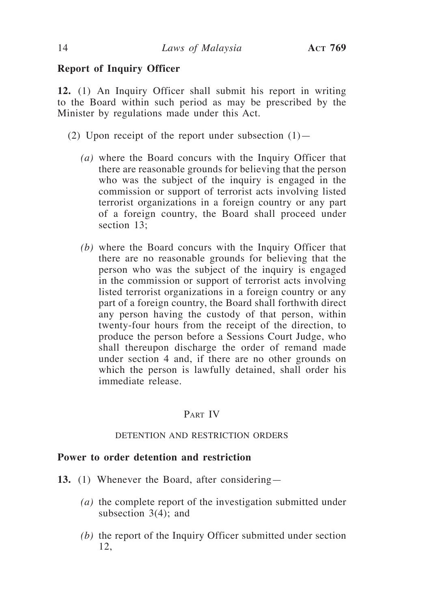## **Report of Inquiry Officer**

**12.** (1) An Inquiry Officer shall submit his report in writing to the Board within such period as may be prescribed by the Minister by regulations made under this Act.

- (2) Upon receipt of the report under subsection  $(1)$ 
	- *(a)* where the Board concurs with the Inquiry Officer that there are reasonable grounds for believing that the person who was the subject of the inquiry is engaged in the commission or support of terrorist acts involving listed terrorist organizations in a foreign country or any part of a foreign country, the Board shall proceed under section 13:
	- *(b)* where the Board concurs with the Inquiry Officer that there are no reasonable grounds for believing that the person who was the subject of the inquiry is engaged in the commission or support of terrorist acts involving listed terrorist organizations in a foreign country or any part of a foreign country, the Board shall forthwith direct any person having the custody of that person, within twenty-four hours from the receipt of the direction, to produce the person before a Sessions Court Judge, who shall thereupon discharge the order of remand made under section 4 and, if there are no other grounds on which the person is lawfully detained, shall order his immediate release.

## PART IV

#### DETENTION AND RESTRICTION ORDERS

## **Power to order detention and restriction**

- **13.** (1) Whenever the Board, after considering—
	- *(a)* the complete report of the investigation submitted under subsection 3(4); and
	- *(b)* the report of the Inquiry Officer submitted under section 12,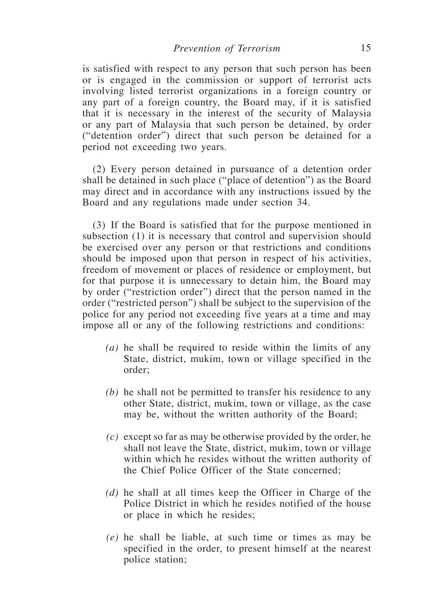is satisfied with respect to any person that such person has been or is engaged in the commission or support of terrorist acts involving listed terrorist organizations in a foreign country or any part of a foreign country, the Board may, if it is satisfied that it is necessary in the interest of the security of Malaysia or any part of Malaysia that such person be detained, by order ("detention order") direct that such person be detained for a period not exceeding two years.

(2) Every person detained in pursuance of a detention order shall be detained in such place ("place of detention") as the Board may direct and in accordance with any instructions issued by the Board and any regulations made under section 34.

(3) If the Board is satisfied that for the purpose mentioned in subsection (1) it is necessary that control and supervision should be exercised over any person or that restrictions and conditions should be imposed upon that person in respect of his activities, freedom of movement or places of residence or employment, but for that purpose it is unnecessary to detain him, the Board may by order ("restriction order") direct that the person named in the order ("restricted person") shall be subject to the supervision of the police for any period not exceeding five years at a time and may impose all or any of the following restrictions and conditions:

- *(a)* he shall be required to reside within the limits of any State, district, mukim, town or village specified in the order;
- *(b)* he shall not be permitted to transfer his residence to any other State, district, mukim, town or village, as the case may be, without the written authority of the Board;
- *(c)* except so far as may be otherwise provided by the order, he shall not leave the State, district, mukim, town or village within which he resides without the written authority of the Chief Police Officer of the State concerned;
- *(d)* he shall at all times keep the Officer in Charge of the Police District in which he resides notified of the house or place in which he resides;
- *(e)* he shall be liable, at such time or times as may be specified in the order, to present himself at the nearest police station;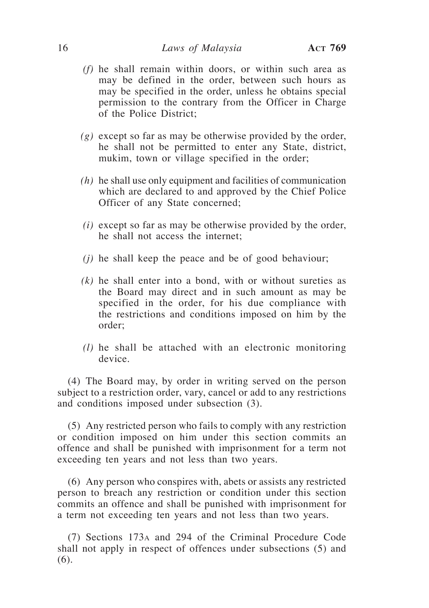#### 16 *Laws of Malaysia* **Act 769**

- *(f)* he shall remain within doors, or within such area as may be defined in the order, between such hours as may be specified in the order, unless he obtains special permission to the contrary from the Officer in Charge of the Police District;
- *(g)* except so far as may be otherwise provided by the order, he shall not be permitted to enter any State, district, mukim, town or village specified in the order;
- *(h)* he shall use only equipment and facilities of communication which are declared to and approved by the Chief Police Officer of any State concerned;
- *(i)* except so far as may be otherwise provided by the order, he shall not access the internet;
- *(j)* he shall keep the peace and be of good behaviour;
- *(k)* he shall enter into a bond, with or without sureties as the Board may direct and in such amount as may be specified in the order, for his due compliance with the restrictions and conditions imposed on him by the order;
- *(l)* he shall be attached with an electronic monitoring device.

(4) The Board may, by order in writing served on the person subject to a restriction order, vary, cancel or add to any restrictions and conditions imposed under subsection (3).

(5) Any restricted person who fails to comply with any restriction or condition imposed on him under this section commits an offence and shall be punished with imprisonment for a term not exceeding ten years and not less than two years.

(6) Any person who conspires with, abets or assists any restricted person to breach any restriction or condition under this section commits an offence and shall be punished with imprisonment for a term not exceeding ten years and not less than two years.

(7) Sections 173a and 294 of the Criminal Procedure Code shall not apply in respect of offences under subsections (5) and (6).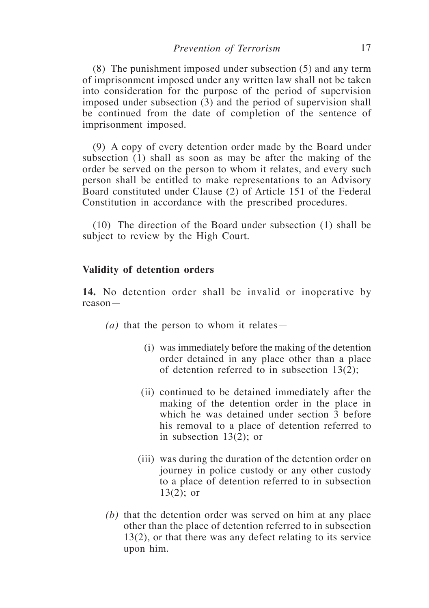(8) The punishment imposed under subsection (5) and any term of imprisonment imposed under any written law shall not be taken into consideration for the purpose of the period of supervision imposed under subsection (3) and the period of supervision shall be continued from the date of completion of the sentence of imprisonment imposed.

(9) A copy of every detention order made by the Board under subsection (1) shall as soon as may be after the making of the order be served on the person to whom it relates, and every such person shall be entitled to make representations to an Advisory Board constituted under Clause (2) of Article 151 of the Federal Constitution in accordance with the prescribed procedures.

(10) The direction of the Board under subsection (1) shall be subject to review by the High Court.

#### **Validity of detention orders**

**14.** No detention order shall be invalid or inoperative by reason—

*(a)* that the person to whom it relates—

- (i) was immediately before the making of the detention order detained in any place other than a place of detention referred to in subsection 13(2);
- (ii) continued to be detained immediately after the making of the detention order in the place in which he was detained under section 3 before his removal to a place of detention referred to in subsection 13(2); or
- (iii) was during the duration of the detention order on journey in police custody or any other custody to a place of detention referred to in subsection  $13(2)$ ; or
- *(b)* that the detention order was served on him at any place other than the place of detention referred to in subsection 13(2), or that there was any defect relating to its service upon him.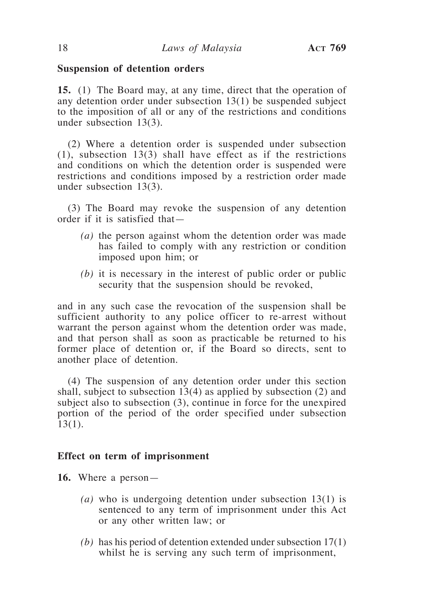#### **Suspension of detention orders**

**15.** (1) The Board may, at any time, direct that the operation of any detention order under subsection 13(1) be suspended subject to the imposition of all or any of the restrictions and conditions under subsection 13(3).

(2) Where a detention order is suspended under subsection (1), subsection 13(3) shall have effect as if the restrictions and conditions on which the detention order is suspended were restrictions and conditions imposed by a restriction order made under subsection 13(3).

(3) The Board may revoke the suspension of any detention order if it is satisfied that—

- *(a)* the person against whom the detention order was made has failed to comply with any restriction or condition imposed upon him; or
- *(b)* it is necessary in the interest of public order or public security that the suspension should be revoked,

and in any such case the revocation of the suspension shall be sufficient authority to any police officer to re-arrest without warrant the person against whom the detention order was made, and that person shall as soon as practicable be returned to his former place of detention or, if the Board so directs, sent to another place of detention.

(4) The suspension of any detention order under this section shall, subject to subsection 13(4) as applied by subsection (2) and subject also to subsection (3), continue in force for the unexpired portion of the period of the order specified under subsection 13(1).

#### **Effect on term of imprisonment**

- **16.** Where a person—
	- *(a)* who is undergoing detention under subsection 13(1) is sentenced to any term of imprisonment under this Act or any other written law; or
	- *(b)* has his period of detention extended under subsection 17(1) whilst he is serving any such term of imprisonment,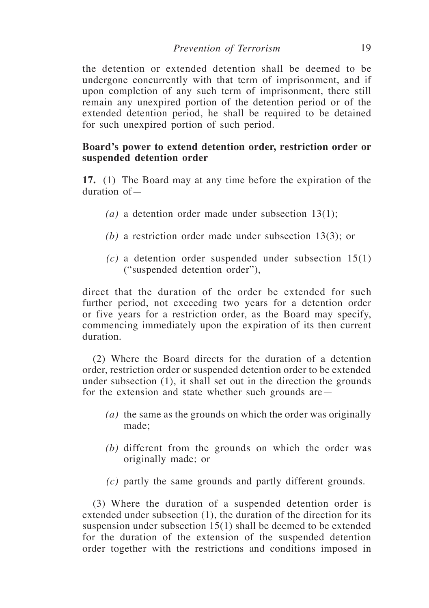the detention or extended detention shall be deemed to be undergone concurrently with that term of imprisonment, and if upon completion of any such term of imprisonment, there still remain any unexpired portion of the detention period or of the extended detention period, he shall be required to be detained for such unexpired portion of such period.

## **Board's power to extend detention order, restriction order or suspended detention order**

**17.** (1) The Board may at any time before the expiration of the duration of—

- *(a)* a detention order made under subsection 13(1);
- *(b)* a restriction order made under subsection 13(3); or
- *(c)* a detention order suspended under subsection 15(1) ("suspended detention order"),

direct that the duration of the order be extended for such further period, not exceeding two years for a detention order or five years for a restriction order, as the Board may specify, commencing immediately upon the expiration of its then current duration.

(2) Where the Board directs for the duration of a detention order, restriction order or suspended detention order to be extended under subsection (1), it shall set out in the direction the grounds for the extension and state whether such grounds are—

- *(a)* the same as the grounds on which the order was originally made;
- *(b)* different from the grounds on which the order was originally made; or
- *(c)* partly the same grounds and partly different grounds.

(3) Where the duration of a suspended detention order is extended under subsection (1), the duration of the direction for its suspension under subsection 15(1) shall be deemed to be extended for the duration of the extension of the suspended detention order together with the restrictions and conditions imposed in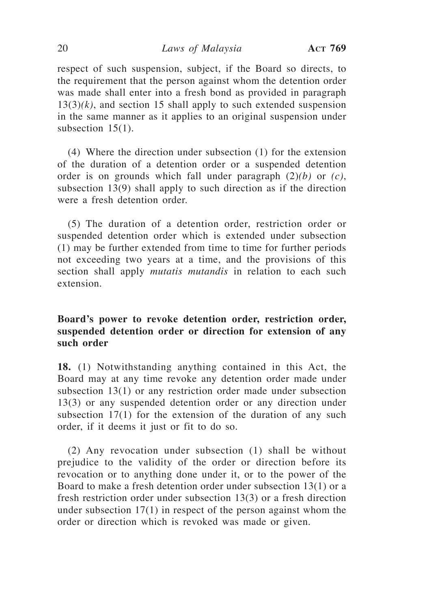respect of such suspension, subject, if the Board so directs, to the requirement that the person against whom the detention order was made shall enter into a fresh bond as provided in paragraph  $13(3)(k)$ , and section 15 shall apply to such extended suspension in the same manner as it applies to an original suspension under subsection 15(1).

(4) Where the direction under subsection (1) for the extension of the duration of a detention order or a suspended detention order is on grounds which fall under paragraph (2)*(b)* or *(c)*, subsection 13(9) shall apply to such direction as if the direction were a fresh detention order.

(5) The duration of a detention order, restriction order or suspended detention order which is extended under subsection (1) may be further extended from time to time for further periods not exceeding two years at a time, and the provisions of this section shall apply *mutatis mutandis* in relation to each such extension.

# **Board's power to revoke detention order, restriction order, suspended detention order or direction for extension of any such order**

**18.** (1) Notwithstanding anything contained in this Act, the Board may at any time revoke any detention order made under subsection 13(1) or any restriction order made under subsection 13(3) or any suspended detention order or any direction under subsection 17(1) for the extension of the duration of any such order, if it deems it just or fit to do so.

(2) Any revocation under subsection (1) shall be without prejudice to the validity of the order or direction before its revocation or to anything done under it, or to the power of the Board to make a fresh detention order under subsection 13(1) or a fresh restriction order under subsection 13(3) or a fresh direction under subsection 17(1) in respect of the person against whom the order or direction which is revoked was made or given.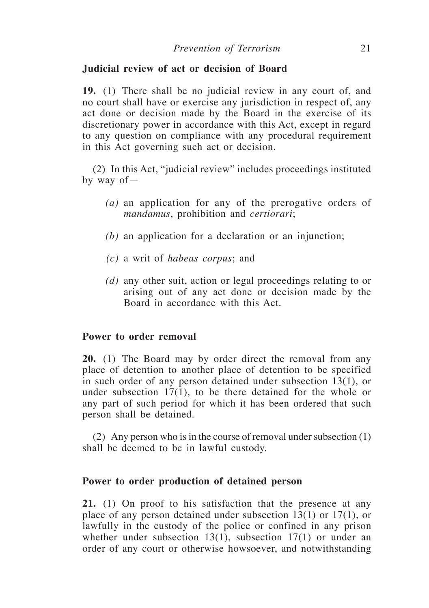## **Judicial review of act or decision of Board**

**19.** (1) There shall be no judicial review in any court of, and no court shall have or exercise any jurisdiction in respect of, any act done or decision made by the Board in the exercise of its discretionary power in accordance with this Act, except in regard to any question on compliance with any procedural requirement in this Act governing such act or decision.

(2) In this Act, "judicial review" includes proceedings instituted by way of—

- *(a)* an application for any of the prerogative orders of *mandamus*, prohibition and *certiorari*;
- *(b)* an application for a declaration or an injunction;
- *(c)* a writ of *habeas corpus*; and
- *(d)* any other suit, action or legal proceedings relating to or arising out of any act done or decision made by the Board in accordance with this Act.

## **Power to order removal**

**20.** (1) The Board may by order direct the removal from any place of detention to another place of detention to be specified in such order of any person detained under subsection 13(1), or under subsection  $17(1)$ , to be there detained for the whole or any part of such period for which it has been ordered that such person shall be detained.

(2) Any person who is in the course of removal under subsection (1) shall be deemed to be in lawful custody.

#### **Power to order production of detained person**

**21.** (1) On proof to his satisfaction that the presence at any place of any person detained under subsection 13(1) or 17(1), or lawfully in the custody of the police or confined in any prison whether under subsection  $13(1)$ , subsection  $17(1)$  or under an order of any court or otherwise howsoever, and notwithstanding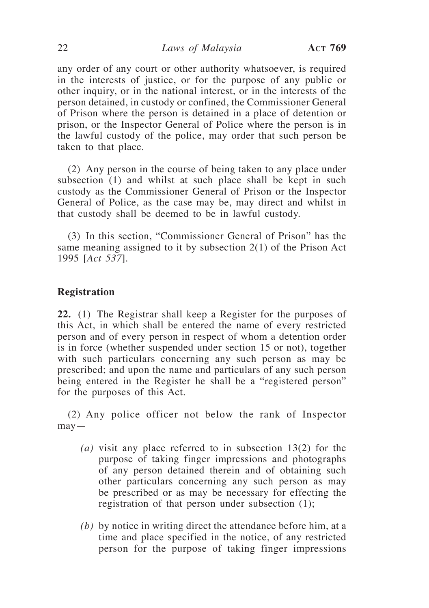any order of any court or other authority whatsoever, is required in the interests of justice, or for the purpose of any public or other inquiry, or in the national interest, or in the interests of the person detained, in custody or confined, the Commissioner General of Prison where the person is detained in a place of detention or prison, or the Inspector General of Police where the person is in the lawful custody of the police, may order that such person be taken to that place.

(2) Any person in the course of being taken to any place under subsection (1) and whilst at such place shall be kept in such custody as the Commissioner General of Prison or the Inspector General of Police, as the case may be, may direct and whilst in that custody shall be deemed to be in lawful custody.

(3) In this section, "Commissioner General of Prison" has the same meaning assigned to it by subsection 2(1) of the Prison Act 1995 [*Act 537*].

## **Registration**

**22.** (1) The Registrar shall keep a Register for the purposes of this Act, in which shall be entered the name of every restricted person and of every person in respect of whom a detention order is in force (whether suspended under section 15 or not), together with such particulars concerning any such person as may be prescribed; and upon the name and particulars of any such person being entered in the Register he shall be a "registered person" for the purposes of this Act.

(2) Any police officer not below the rank of Inspector  $may -$ 

- *(a)* visit any place referred to in subsection 13(2) for the purpose of taking finger impressions and photographs of any person detained therein and of obtaining such other particulars concerning any such person as may be prescribed or as may be necessary for effecting the registration of that person under subsection (1);
- *(b)* by notice in writing direct the attendance before him, at a time and place specified in the notice, of any restricted person for the purpose of taking finger impressions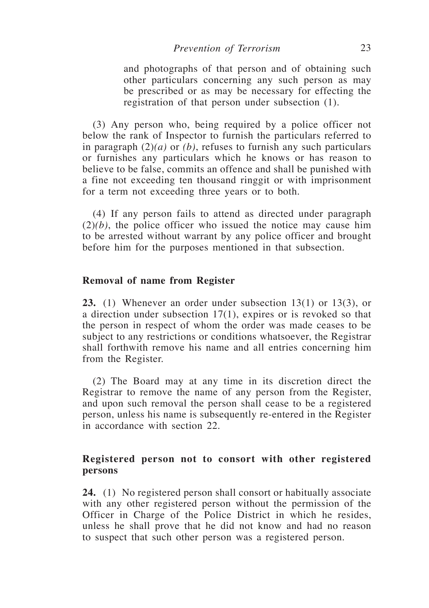and photographs of that person and of obtaining such other particulars concerning any such person as may be prescribed or as may be necessary for effecting the registration of that person under subsection (1).

(3) Any person who, being required by a police officer not below the rank of Inspector to furnish the particulars referred to in paragraph (2)*(a)* or *(b)*, refuses to furnish any such particulars or furnishes any particulars which he knows or has reason to believe to be false, commits an offence and shall be punished with a fine not exceeding ten thousand ringgit or with imprisonment for a term not exceeding three years or to both.

(4) If any person fails to attend as directed under paragraph  $(2)(b)$ , the police officer who issued the notice may cause him to be arrested without warrant by any police officer and brought before him for the purposes mentioned in that subsection.

#### **Removal of name from Register**

**23.** (1) Whenever an order under subsection 13(1) or 13(3), or a direction under subsection 17(1), expires or is revoked so that the person in respect of whom the order was made ceases to be subject to any restrictions or conditions whatsoever, the Registrar shall forthwith remove his name and all entries concerning him from the Register.

(2) The Board may at any time in its discretion direct the Registrar to remove the name of any person from the Register, and upon such removal the person shall cease to be a registered person, unless his name is subsequently re-entered in the Register in accordance with section 22.

## **Registered person not to consort with other registered persons**

**24.** (1) No registered person shall consort or habitually associate with any other registered person without the permission of the Officer in Charge of the Police District in which he resides, unless he shall prove that he did not know and had no reason to suspect that such other person was a registered person.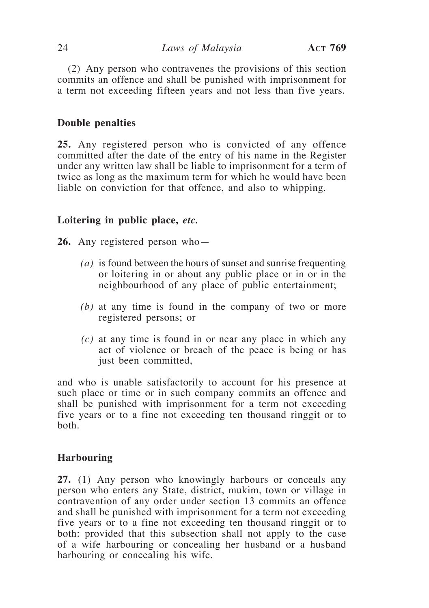(2) Any person who contravenes the provisions of this section commits an offence and shall be punished with imprisonment for a term not exceeding fifteen years and not less than five years.

## **Double penalties**

**25.** Any registered person who is convicted of any offence committed after the date of the entry of his name in the Register under any written law shall be liable to imprisonment for a term of twice as long as the maximum term for which he would have been liable on conviction for that offence, and also to whipping.

## **Loitering in public place,** *etc.*

**26.** Any registered person who—

- *(a)* is found between the hours of sunset and sunrise frequenting or loitering in or about any public place or in or in the neighbourhood of any place of public entertainment;
- *(b)* at any time is found in the company of two or more registered persons; or
- *(c)* at any time is found in or near any place in which any act of violence or breach of the peace is being or has just been committed,

and who is unable satisfactorily to account for his presence at such place or time or in such company commits an offence and shall be punished with imprisonment for a term not exceeding five years or to a fine not exceeding ten thousand ringgit or to both.

## **Harbouring**

**27.** (1) Any person who knowingly harbours or conceals any person who enters any State, district, mukim, town or village in contravention of any order under section 13 commits an offence and shall be punished with imprisonment for a term not exceeding five years or to a fine not exceeding ten thousand ringgit or to both: provided that this subsection shall not apply to the case of a wife harbouring or concealing her husband or a husband harbouring or concealing his wife.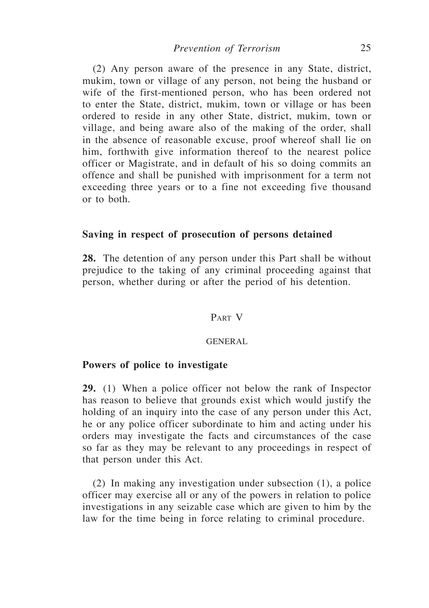(2) Any person aware of the presence in any State, district, mukim, town or village of any person, not being the husband or wife of the first-mentioned person, who has been ordered not to enter the State, district, mukim, town or village or has been ordered to reside in any other State, district, mukim, town or village, and being aware also of the making of the order, shall in the absence of reasonable excuse, proof whereof shall lie on him, forthwith give information thereof to the nearest police officer or Magistrate, and in default of his so doing commits an offence and shall be punished with imprisonment for a term not exceeding three years or to a fine not exceeding five thousand or to both.

## **Saving in respect of prosecution of persons detained**

**28.** The detention of any person under this Part shall be without prejudice to the taking of any criminal proceeding against that person, whether during or after the period of his detention.

## Part V

#### GENERAL

#### **Powers of police to investigate**

**29.** (1) When a police officer not below the rank of Inspector has reason to believe that grounds exist which would justify the holding of an inquiry into the case of any person under this Act, he or any police officer subordinate to him and acting under his orders may investigate the facts and circumstances of the case so far as they may be relevant to any proceedings in respect of that person under this Act.

(2) In making any investigation under subsection (1), a police officer may exercise all or any of the powers in relation to police investigations in any seizable case which are given to him by the law for the time being in force relating to criminal procedure.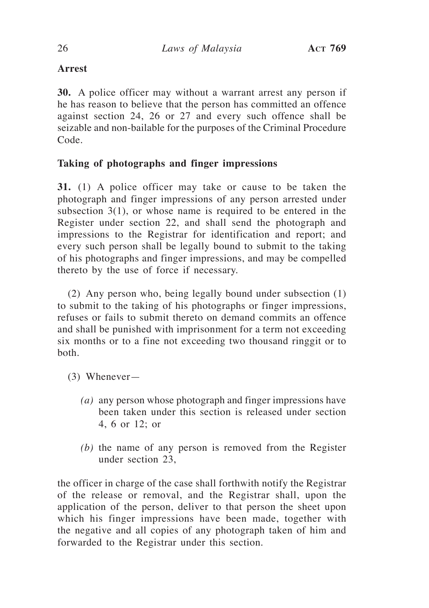# **Arrest**

**30.** A police officer may without a warrant arrest any person if he has reason to believe that the person has committed an offence against section 24, 26 or 27 and every such offence shall be seizable and non-bailable for the purposes of the Criminal Procedure Code.

# **Taking of photographs and finger impressions**

**31.** (1) A police officer may take or cause to be taken the photograph and finger impressions of any person arrested under subsection 3(1), or whose name is required to be entered in the Register under section 22, and shall send the photograph and impressions to the Registrar for identification and report; and every such person shall be legally bound to submit to the taking of his photographs and finger impressions, and may be compelled thereto by the use of force if necessary.

(2) Any person who, being legally bound under subsection (1) to submit to the taking of his photographs or finger impressions, refuses or fails to submit thereto on demand commits an offence and shall be punished with imprisonment for a term not exceeding six months or to a fine not exceeding two thousand ringgit or to both.

- (3) Whenever—
	- *(a)* any person whose photograph and finger impressions have been taken under this section is released under section 4, 6 or 12; or
	- *(b)* the name of any person is removed from the Register under section 23,

the officer in charge of the case shall forthwith notify the Registrar of the release or removal, and the Registrar shall, upon the application of the person, deliver to that person the sheet upon which his finger impressions have been made, together with the negative and all copies of any photograph taken of him and forwarded to the Registrar under this section.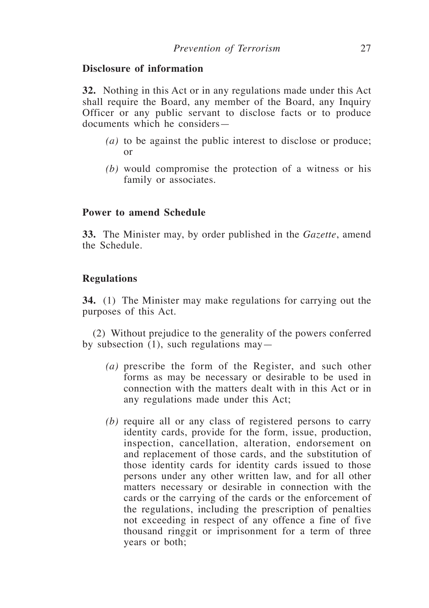## **Disclosure of information**

**32.** Nothing in this Act or in any regulations made under this Act shall require the Board, any member of the Board, any Inquiry Officer or any public servant to disclose facts or to produce documents which he considers—

- *(a)* to be against the public interest to disclose or produce; or
- *(b)* would compromise the protection of a witness or his family or associates.

## **Power to amend Schedule**

**33.** The Minister may, by order published in the *Gazette*, amend the Schedule.

## **Regulations**

**34.** (1) The Minister may make regulations for carrying out the purposes of this Act.

(2) Without prejudice to the generality of the powers conferred by subsection (1), such regulations may—

- *(a)* prescribe the form of the Register, and such other forms as may be necessary or desirable to be used in connection with the matters dealt with in this Act or in any regulations made under this Act;
- *(b)* require all or any class of registered persons to carry identity cards, provide for the form, issue, production, inspection, cancellation, alteration, endorsement on and replacement of those cards, and the substitution of those identity cards for identity cards issued to those persons under any other written law, and for all other matters necessary or desirable in connection with the cards or the carrying of the cards or the enforcement of the regulations, including the prescription of penalties not exceeding in respect of any offence a fine of five thousand ringgit or imprisonment for a term of three years or both;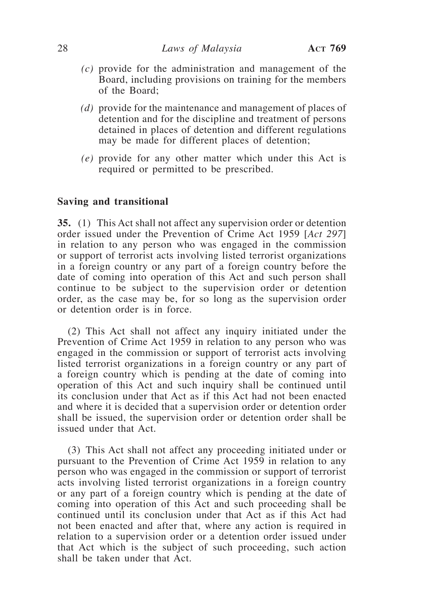- *(c)* provide for the administration and management of the Board, including provisions on training for the members of the Board;
- *(d)* provide for the maintenance and management of places of detention and for the discipline and treatment of persons detained in places of detention and different regulations may be made for different places of detention;
- *(e)* provide for any other matter which under this Act is required or permitted to be prescribed.

#### **Saving and transitional**

**35.** (1) This Act shall not affect any supervision order or detention order issued under the Prevention of Crime Act 1959 [*Act 297*] in relation to any person who was engaged in the commission or support of terrorist acts involving listed terrorist organizations in a foreign country or any part of a foreign country before the date of coming into operation of this Act and such person shall continue to be subject to the supervision order or detention order, as the case may be, for so long as the supervision order or detention order is in force.

(2) This Act shall not affect any inquiry initiated under the Prevention of Crime Act 1959 in relation to any person who was engaged in the commission or support of terrorist acts involving listed terrorist organizations in a foreign country or any part of a foreign country which is pending at the date of coming into operation of this Act and such inquiry shall be continued until its conclusion under that Act as if this Act had not been enacted and where it is decided that a supervision order or detention order shall be issued, the supervision order or detention order shall be issued under that Act.

(3) This Act shall not affect any proceeding initiated under or pursuant to the Prevention of Crime Act 1959 in relation to any person who was engaged in the commission or support of terrorist acts involving listed terrorist organizations in a foreign country or any part of a foreign country which is pending at the date of coming into operation of this Act and such proceeding shall be continued until its conclusion under that Act as if this Act had not been enacted and after that, where any action is required in relation to a supervision order or a detention order issued under that Act which is the subject of such proceeding, such action shall be taken under that Act.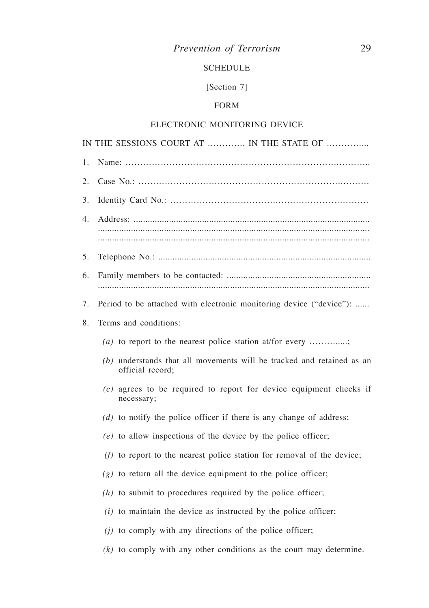# *Prevention of Terrorism* 29

## SCHEDULE

# [Section 7]

## FORM

## ELECTRONIC MONITORING DEVICE

|    | IN THE SESSIONS COURT AT  IN THE STATE OF                                                   |  |  |  |  |
|----|---------------------------------------------------------------------------------------------|--|--|--|--|
| 1. |                                                                                             |  |  |  |  |
| 2. |                                                                                             |  |  |  |  |
| 3. |                                                                                             |  |  |  |  |
| 4. |                                                                                             |  |  |  |  |
|    |                                                                                             |  |  |  |  |
| 5. |                                                                                             |  |  |  |  |
| 6. |                                                                                             |  |  |  |  |
| 7. | Period to be attached with electronic monitoring device ("device"):                         |  |  |  |  |
| 8. | Terms and conditions:                                                                       |  |  |  |  |
|    | (a) to report to the nearest police station at/for every ;                                  |  |  |  |  |
|    | $(b)$ understands that all movements will be tracked and retained as an<br>official record; |  |  |  |  |
|    | $(c)$ agrees to be required to report for device equipment checks if<br>necessary;          |  |  |  |  |
|    | $(d)$ to notify the police officer if there is any change of address;                       |  |  |  |  |
|    | $(e)$ to allow inspections of the device by the police officer;                             |  |  |  |  |
|    | $(f)$ to report to the nearest police station for removal of the device;                    |  |  |  |  |
|    | $(g)$ to return all the device equipment to the police officer;                             |  |  |  |  |
|    | $(h)$ to submit to procedures required by the police officer;                               |  |  |  |  |
|    | $(i)$ to maintain the device as instructed by the police officer;                           |  |  |  |  |
|    | $(i)$ to comply with any directions of the police officer;                                  |  |  |  |  |
|    | $(k)$ to comply with any other conditions as the court may determine.                       |  |  |  |  |